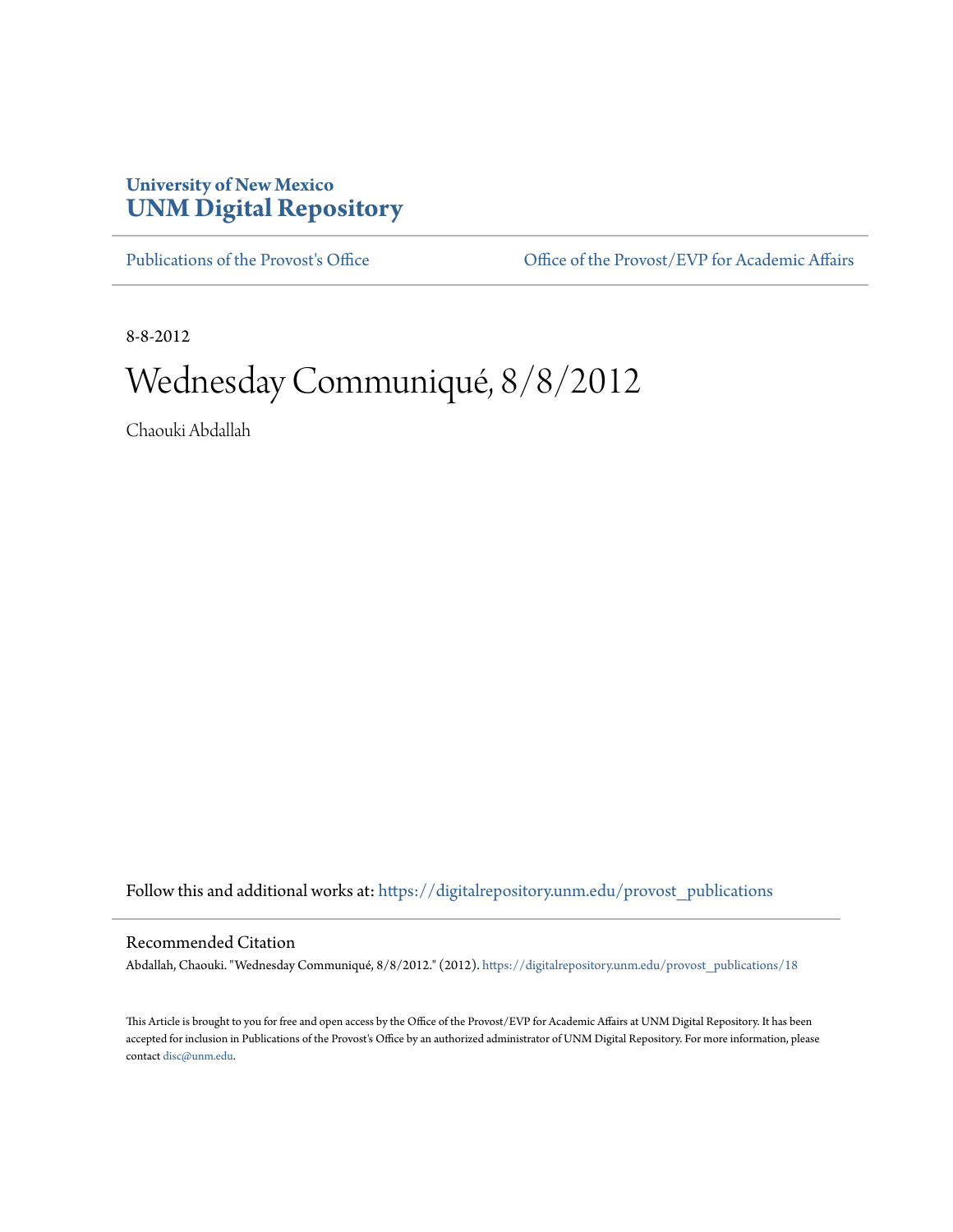## **University of New Mexico [UNM Digital Repository](https://digitalrepository.unm.edu?utm_source=digitalrepository.unm.edu%2Fprovost_publications%2F18&utm_medium=PDF&utm_campaign=PDFCoverPages)**

[Publications of the Provost's Office](https://digitalrepository.unm.edu/provost_publications?utm_source=digitalrepository.unm.edu%2Fprovost_publications%2F18&utm_medium=PDF&utm_campaign=PDFCoverPages) Office [Office of the Provost/EVP for Academic Affairs](https://digitalrepository.unm.edu/ofc_provost?utm_source=digitalrepository.unm.edu%2Fprovost_publications%2F18&utm_medium=PDF&utm_campaign=PDFCoverPages)

8-8-2012

# Wednesday Communiqué, 8/8/2012

Chaouki Abdallah

Follow this and additional works at: [https://digitalrepository.unm.edu/provost\\_publications](https://digitalrepository.unm.edu/provost_publications?utm_source=digitalrepository.unm.edu%2Fprovost_publications%2F18&utm_medium=PDF&utm_campaign=PDFCoverPages)

#### Recommended Citation

Abdallah, Chaouki. "Wednesday Communiqué, 8/8/2012." (2012). [https://digitalrepository.unm.edu/provost\\_publications/18](https://digitalrepository.unm.edu/provost_publications/18?utm_source=digitalrepository.unm.edu%2Fprovost_publications%2F18&utm_medium=PDF&utm_campaign=PDFCoverPages)

This Article is brought to you for free and open access by the Office of the Provost/EVP for Academic Affairs at UNM Digital Repository. It has been accepted for inclusion in Publications of the Provost's Office by an authorized administrator of UNM Digital Repository. For more information, please contact [disc@unm.edu.](mailto:disc@unm.edu)